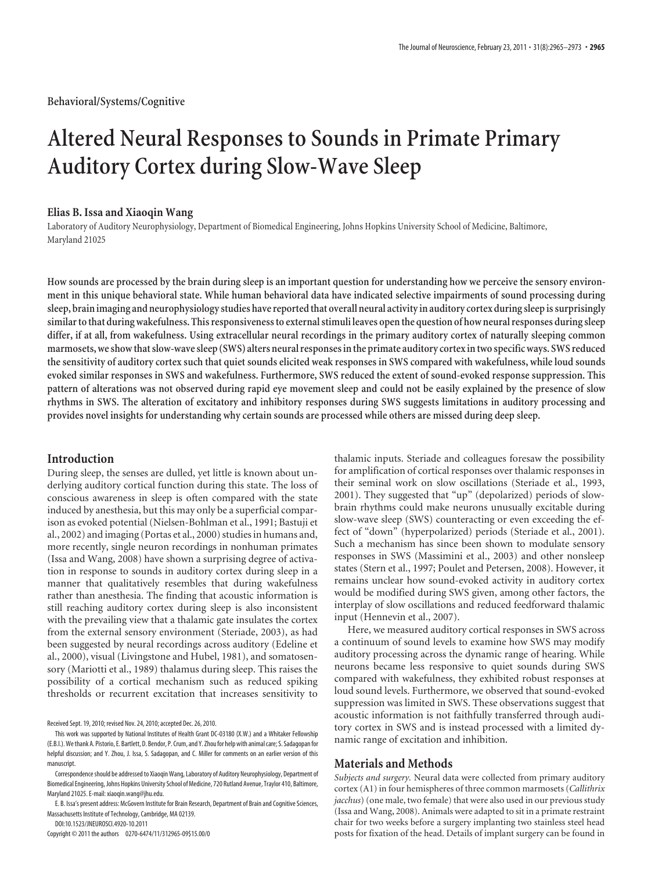# **Altered Neural Responses to Sounds in Primate Primary Auditory Cortex during Slow-Wave Sleep**

## **Elias B. Issa and Xiaoqin Wang**

Laboratory of Auditory Neurophysiology, Department of Biomedical Engineering, Johns Hopkins University School of Medicine, Baltimore, Maryland 21025

**How sounds are processed by the brain during sleep is an important question for understanding how we perceive the sensory environment in this unique behavioral state. While human behavioral data have indicated selective impairments of sound processing during sleep, brain imaging and neurophysiology studies have reportedthat overall neural activity in auditory cortex during sleep is surprisingly similartothat during wakefulness. This responsivenessto external stimuli leaves openthe question of how neural responses during sleep differ, if at all, from wakefulness. Using extracellular neural recordings in the primary auditory cortex of naturally sleeping common marmosets, we showthat slow-wave sleep (SWS) alters neural responses inthe primate auditory cortex intwo specific ways. SWS reduced the sensitivity of auditory cortex such that quiet sounds elicited weak responses in SWS compared with wakefulness, while loud sounds evoked similar responses in SWS and wakefulness. Furthermore, SWS reduced the extent of sound-evoked response suppression. This pattern of alterations was not observed during rapid eye movement sleep and could not be easily explained by the presence of slow rhythms in SWS. The alteration of excitatory and inhibitory responses during SWS suggests limitations in auditory processing and provides novel insights for understanding why certain sounds are processed while others are missed during deep sleep.**

# **Introduction**

During sleep, the senses are dulled, yet little is known about underlying auditory cortical function during this state. The loss of conscious awareness in sleep is often compared with the state induced by anesthesia, but this may only be a superficial comparison as evoked potential (Nielsen-Bohlman et al., 1991; Bastuji et al., 2002) and imaging (Portas et al., 2000) studies in humans and, more recently, single neuron recordings in nonhuman primates (Issa and Wang, 2008) have shown a surprising degree of activation in response to sounds in auditory cortex during sleep in a manner that qualitatively resembles that during wakefulness rather than anesthesia. The finding that acoustic information is still reaching auditory cortex during sleep is also inconsistent with the prevailing view that a thalamic gate insulates the cortex from the external sensory environment (Steriade, 2003), as had been suggested by neural recordings across auditory (Edeline et al., 2000), visual (Livingstone and Hubel, 1981), and somatosensory (Mariotti et al., 1989) thalamus during sleep. This raises the possibility of a cortical mechanism such as reduced spiking thresholds or recurrent excitation that increases sensitivity to

Received Sept. 19, 2010; revised Nov. 24, 2010; accepted Dec. 26, 2010.

DOI:10.1523/JNEUROSCI.4920-10.2011 Copyright © 2011 the authors 0270-6474/11/312965-09\$15.00/0

thalamic inputs. Steriade and colleagues foresaw the possibility for amplification of cortical responses over thalamic responses in their seminal work on slow oscillations (Steriade et al., 1993, 2001). They suggested that "up" (depolarized) periods of slowbrain rhythms could make neurons unusually excitable during slow-wave sleep (SWS) counteracting or even exceeding the effect of "down" (hyperpolarized) periods (Steriade et al., 2001). Such a mechanism has since been shown to modulate sensory responses in SWS (Massimini et al., 2003) and other nonsleep states (Stern et al., 1997; Poulet and Petersen, 2008). However, it remains unclear how sound-evoked activity in auditory cortex would be modified during SWS given, among other factors, the interplay of slow oscillations and reduced feedforward thalamic input (Hennevin et al., 2007).

Here, we measured auditory cortical responses in SWS across a continuum of sound levels to examine how SWS may modify auditory processing across the dynamic range of hearing. While neurons became less responsive to quiet sounds during SWS compared with wakefulness, they exhibited robust responses at loud sound levels. Furthermore, we observed that sound-evoked suppression was limited in SWS. These observations suggest that acoustic information is not faithfully transferred through auditory cortex in SWS and is instead processed with a limited dynamic range of excitation and inhibition.

# **Materials and Methods**

*Subjects and surgery.* Neural data were collected from primary auditory cortex (A1) in four hemispheres of three common marmosets (*Callithrix jacchus*) (one male, two female) that were also used in our previous study (Issa and Wang, 2008). Animals were adapted to sit in a primate restraint chair for two weeks before a surgery implanting two stainless steel head posts for fixation of the head. Details of implant surgery can be found in

This work was supported by National Institutes of Health Grant DC-03180 (X.W.) and a Whitaker Fellowship (E.B.I.).Wethank A. Pistorio, E. Bartlett, D. Bendor, P. Crum, and Y. Zhou for help with animal care; S. Sadagopan for helpful discussion; and Y. Zhou, J. Issa, S. Sadagopan, and C. Miller for comments on an earlier version of this manuscript.

Correspondence should be addressed to Xiaoqin Wang, Laboratory of Auditory Neurophysiology, Department of Biomedical Engineering, Johns Hopkins University School of Medicine, 720 Rutland Avenue, Traylor 410, Baltimore, Maryland 21025. E-mail: xiaoqin.wang@jhu.edu.

E. B. Issa's present address: McGovern Institute for Brain Research, Department of Brain and Cognitive Sciences, Massachusetts Institute of Technology, Cambridge, MA 02139.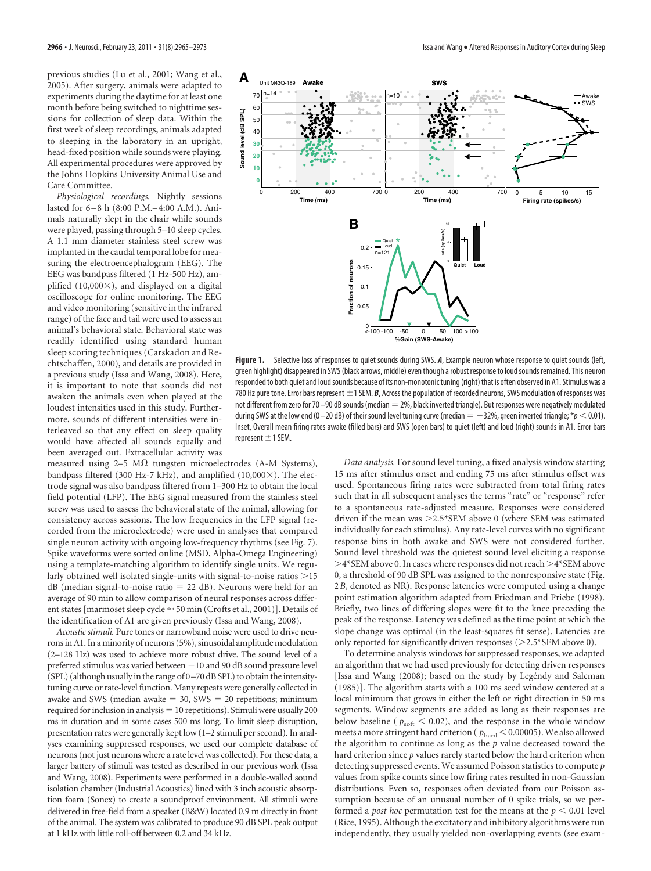previous studies (Lu et al., 2001; Wang et al., 2005). After surgery, animals were adapted to experiments during the daytime for at least one month before being switched to nighttime sessions for collection of sleep data. Within the first week of sleep recordings, animals adapted to sleeping in the laboratory in an upright, head-fixed position while sounds were playing. All experimental procedures were approved by the Johns Hopkins University Animal Use and Care Committee.

*Physiological recordings.* Nightly sessions lasted for 6-8 h (8:00 P.M.-4:00 A.M.). Animals naturally slept in the chair while sounds were played, passing through 5–10 sleep cycles. A 1.1 mm diameter stainless steel screw was implanted in the caudal temporal lobe for measuring the electroencephalogram (EEG). The EEG was bandpass filtered (1 Hz-500 Hz), amplified  $(10,000\times)$ , and displayed on a digital oscilloscope for online monitoring. The EEG and video monitoring (sensitive in the infrared range) of the face and tail were used to assess an animal's behavioral state. Behavioral state was readily identified using standard human sleep scoring techniques (Carskadon and Rechtschaffen, 2000), and details are provided in a previous study (Issa and Wang, 2008). Here, it is important to note that sounds did not awaken the animals even when played at the loudest intensities used in this study. Furthermore, sounds of different intensities were interleaved so that any effect on sleep quality would have affected all sounds equally and been averaged out. Extracellular activity was

measured using 2-5 M $\Omega$  tungsten microelectrodes (A-M Systems), bandpass filtered (300 Hz-7 kHz), and amplified (10,000 $\times$ ). The electrode signal was also bandpass filtered from 1–300 Hz to obtain the local field potential (LFP). The EEG signal measured from the stainless steel screw was used to assess the behavioral state of the animal, allowing for consistency across sessions. The low frequencies in the LFP signal (recorded from the microelectrode) were used in analyses that compared single neuron activity with ongoing low-frequency rhythms (see Fig. 7). Spike waveforms were sorted online (MSD, Alpha-Omega Engineering) using a template-matching algorithm to identify single units. We regularly obtained well isolated single-units with signal-to-noise ratios >15  $dB$  (median signal-to-noise ratio = 22 dB). Neurons were held for an average of 90 min to allow comparison of neural responses across different states [marmoset sleep cycle  $\approx$  50 min (Crofts et al., 2001)]. Details of the identification of A1 are given previously (Issa and Wang, 2008).

*Acoustic stimuli.* Pure tones or narrowband noise were used to drive neurons in A1. In a minority of neurons (5%), sinusoidal amplitude modulation (2–128 Hz) was used to achieve more robust drive. The sound level of a preferred stimulus was varied between  $-10$  and 90 dB sound pressure level (SPL) (although usually in the range of 0 –70 dB SPL) to obtain the intensitytuning curve or rate-level function. Many repeats were generally collected in awake and SWS (median awake  $= 30$ , SWS  $= 20$  repetitions; minimum required for inclusion in analysis  $= 10$  repetitions). Stimuli were usually 200 ms in duration and in some cases 500 ms long. To limit sleep disruption, presentation rates were generally kept low (1–2 stimuli per second). In analyses examining suppressed responses, we used our complete database of neurons (not just neurons where a rate level was collected). For these data, a larger battery of stimuli was tested as described in our previous work (Issa and Wang, 2008). Experiments were performed in a double-walled sound isolation chamber (Industrial Acoustics) lined with 3 inch acoustic absorption foam (Sonex) to create a soundproof environment. All stimuli were delivered in free-field from a speaker (B&W) located 0.9 m directly in front of the animal. The system was calibrated to produce 90 dB SPL peak output at 1 kHz with little roll-off between 0.2 and 34 kHz.



**Figure 1.** Selective loss of responses to quiet sounds during SWS. *A*, Example neuron whose response to quiet sounds (left, green highlight) disappeared in SWS (black arrows, middle) even though a robust response to loudsounds remained. This neuron responded to both quiet and loud sounds because of its non-monotonic tuning (right) that is often observed in A1. Stimulus was a 780 Hz pure tone. Error bars represent  $\pm$  1 SEM. *B*, Across the population of recorded neurons, SWS modulation of responses was not different from zero for 70 –90 dB sounds (median = 2%, black inverted triangle). But responses were negatively modulated during SWS at the low end (0-20 dB) of their sound level tuning curve (median  $=$   $-$ 32%, green inverted triangle; \*p < 0.01). Inset, Overall mean firing rates awake (filled bars) and SWS (open bars) to quiet (left) and loud (right) sounds in A1. Error bars represent  $\pm$  1 SEM.

*Data analysis.* For sound level tuning, a fixed analysis window starting 15 ms after stimulus onset and ending 75 ms after stimulus offset was used. Spontaneous firing rates were subtracted from total firing rates such that in all subsequent analyses the terms "rate" or "response" refer to a spontaneous rate-adjusted measure. Responses were considered driven if the mean was  $>$  2.5\*SEM above 0 (where SEM was estimated individually for each stimulus). Any rate-level curves with no significant response bins in both awake and SWS were not considered further. Sound level threshold was the quietest sound level eliciting a response  $>$ 4\*SEM above 0. In cases where responses did not reach  $>$ 4\*SEM above 0, a threshold of 90 dB SPL was assigned to the nonresponsive state (Fig. 2*B*, denoted as NR). Response latencies were computed using a change point estimation algorithm adapted from Friedman and Priebe (1998). Briefly, two lines of differing slopes were fit to the knee preceding the peak of the response. Latency was defined as the time point at which the slope change was optimal (in the least-squares fit sense). Latencies are only reported for significantly driven responses  $(>2.5*SEM$  above 0).

To determine analysis windows for suppressed responses, we adapted an algorithm that we had used previously for detecting driven responses [Issa and Wang (2008); based on the study by Legéndy and Salcman (1985)]. The algorithm starts with a 100 ms seed window centered at a local minimum that grows in either the left or right direction in 50 ms segments. Window segments are added as long as their responses are below baseline ( $p_{soft}$  < 0.02), and the response in the whole window meets a more stringent hard criterion (  $p_{\rm hard}$   $<$  0.00005). We also allowed the algorithm to continue as long as the *p* value decreased toward the hard criterion since *p* values rarely started below the hard criterion when detecting suppressed events. We assumed Poisson statistics to compute *p* values from spike counts since low firing rates resulted in non-Gaussian distributions. Even so, responses often deviated from our Poisson assumption because of an unusual number of 0 spike trials, so we performed a *post hoc* permutation test for the means at the  $p < 0.01$  level (Rice, 1995). Although the excitatory and inhibitory algorithms were run independently, they usually yielded non-overlapping events (see exam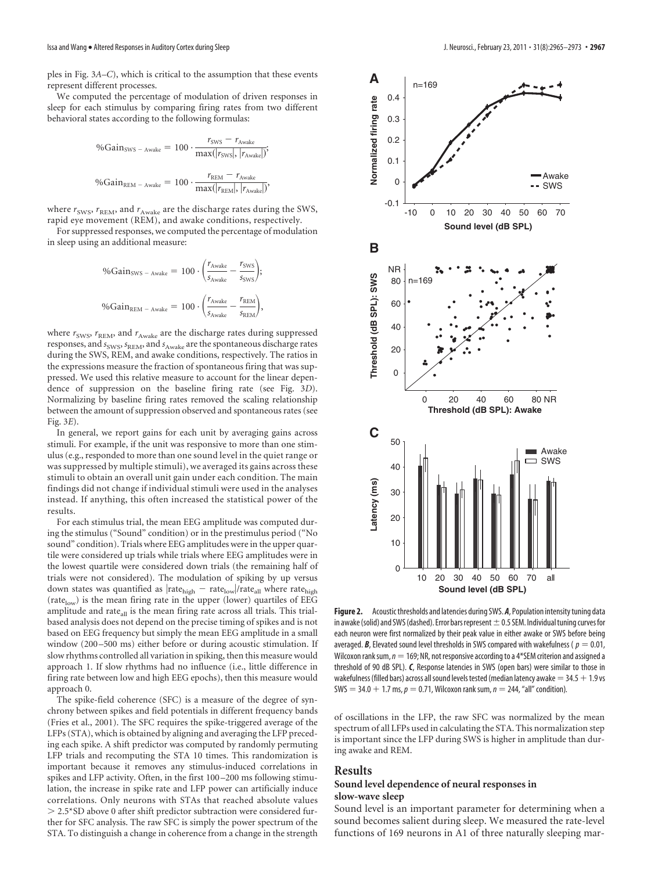ples in Fig. 3*A–C*), which is critical to the assumption that these events represent different processes.

We computed the percentage of modulation of driven responses in sleep for each stimulus by comparing firing rates from two different behavioral states according to the following formulas:

$$
\%Gain_{SWS - \text{Awake}} = 100 \cdot \frac{r_{SWS} - r_{\text{Awake}}}{\max(|r_{SWS}|, |r_{\text{Awake}}|)};
$$
  

$$
\%Gain_{REM - \text{Awake}} = 100 \cdot \frac{r_{REM} - r_{\text{Awake}}}{\max(|r_{REM}|, |r_{\text{Awake}}|)},
$$

where  $r_{\text{SWS}}$ ,  $r_{\text{REM}}$ , and  $r_{\text{Awake}}$  are the discharge rates during the SWS, rapid eye movement (REM), and awake conditions, respectively.

For suppressed responses, we computed the percentage of modulation in sleep using an additional measure:

$$
\%Gain_{SWS - \text{Awake}} = 100 \cdot \left(\frac{r_{\text{Awake}}}{s_{\text{Awake}}} - \frac{r_{SWS}}{s_{SWS}}\right);
$$

$$
\%Gain_{REM - \text{Awake}} = 100 \cdot \left(\frac{r_{\text{Awake}}}{s_{\text{Awake}}} - \frac{r_{REM}}{s_{REM}}\right),
$$

where  $r_{\rm SWS},\,r_{\rm REM},$  and  $r_{\rm Awake}$  are the discharge rates during suppressed responses, and  $s_{\text{SWS}}$ ,  $s_{\text{REM}}$ , and  $s_{\text{Awake}}$  are the spontaneous discharge rates during the SWS, REM, and awake conditions, respectively. The ratios in the expressions measure the fraction of spontaneous firing that was suppressed. We used this relative measure to account for the linear dependence of suppression on the baseline firing rate (see Fig. 3*D*). Normalizing by baseline firing rates removed the scaling relationship between the amount of suppression observed and spontaneous rates (see Fig. 3*E*).

In general, we report gains for each unit by averaging gains across stimuli. For example, if the unit was responsive to more than one stimulus (e.g., responded to more than one sound level in the quiet range or was suppressed by multiple stimuli), we averaged its gains across these stimuli to obtain an overall unit gain under each condition. The main findings did not change if individual stimuli were used in the analyses instead. If anything, this often increased the statistical power of the results.

For each stimulus trial, the mean EEG amplitude was computed during the stimulus ("Sound" condition) or in the prestimulus period ("No sound" condition). Trials where EEG amplitudes were in the upper quartile were considered up trials while trials where EEG amplitudes were in the lowest quartile were considered down trials (the remaining half of trials were not considered). The modulation of spiking by up versus down states was quantified as  $r_{\text{rate}_{\text{high}}} - r_{\text{rate}_{\text{low}}}/r_{\text{rate}_{\text{all}}}$  where rate $_{\text{high}}$ (rate<sub>low</sub>) is the mean firing rate in the upper (lower) quartiles of EEG amplitude and rate<sub>all</sub> is the mean firing rate across all trials. This trialbased analysis does not depend on the precise timing of spikes and is not based on EEG frequency but simply the mean EEG amplitude in a small window (200-500 ms) either before or during acoustic stimulation. If slow rhythms controlled all variation in spiking, then this measure would approach 1. If slow rhythms had no influence (i.e., little difference in firing rate between low and high EEG epochs), then this measure would approach 0.

The spike-field coherence (SFC) is a measure of the degree of synchrony between spikes and field potentials in different frequency bands (Fries et al., 2001). The SFC requires the spike-triggered average of the LFPs (STA), which is obtained by aligning and averaging the LFP preceding each spike. A shift predictor was computed by randomly permuting LFP trials and recomputing the STA 10 times. This randomization is important because it removes any stimulus-induced correlations in spikes and LFP activity. Often, in the first 100 –200 ms following stimulation, the increase in spike rate and LFP power can artificially induce correlations. Only neurons with STAs that reached absolute values 2.5\*SD above 0 after shift predictor subtraction were considered further for SFC analysis. The raw SFC is simply the power spectrum of the STA. To distinguish a change in coherence from a change in the strength



**Figure 2.** Acoustic thresholds and latencies during SWS. *A*, Population intensity tuning data in awake (solid) and SWS (dashed). Error bars represent  $\pm$  0.5 SEM. Individual tuning curves for each neuron were first normalized by their peak value in either awake or SWS before being averaged. **B**, Elevated sound level thresholds in SWS compared with wakefulness ( $p = 0.01$ , Wilcoxon rank sum,  $n=169$ ; NR, not responsive according to a 4\*SEM criterion and assigned a threshold of 90 dB SPL). *C*, Response latencies in SWS (open bars) were similar to those in wakefulness (filled bars) across all sound levels tested (median latency awake  $=$  34.5  $+$  1.9 vs  $SWS = 34.0 + 1.7$  ms,  $p = 0.71$ , Wilcoxon rank sum,  $n = 244$ , "all" condition).

of oscillations in the LFP, the raw SFC was normalized by the mean spectrum of all LFPs used in calculating the STA. This normalization step is important since the LFP during SWS is higher in amplitude than during awake and REM.

## **Results**

## **Sound level dependence of neural responses in slow-wave sleep**

Sound level is an important parameter for determining when a sound becomes salient during sleep. We measured the rate-level functions of 169 neurons in A1 of three naturally sleeping mar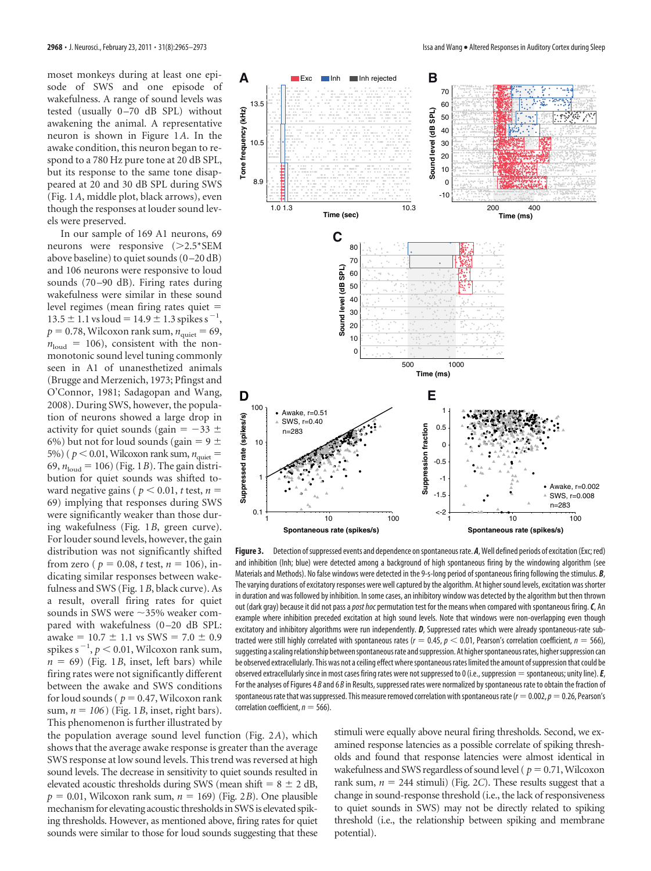moset monkeys during at least one episode of SWS and one episode of wakefulness. A range of sound levels was tested (usually 0-70 dB SPL) without awakening the animal. A representative neuron is shown in Figure 1*A*. In the awake condition, this neuron began to respond to a 780 Hz pure tone at 20 dB SPL, but its response to the same tone disappeared at 20 and 30 dB SPL during SWS (Fig. 1*A*, middle plot, black arrows), even though the responses at louder sound levels were preserved.

In our sample of 169 A1 neurons, 69 neurons were responsive  $(>2.5*SEM)$ above baseline) to quiet sounds  $(0-20 dB)$ and 106 neurons were responsive to loud sounds (70 –90 dB). Firing rates during wakefulness were similar in these sound level regimes (mean firing rates quiet  $13.5 \pm 1.1$  vs loud = 14.9  $\pm$  1.3 spikes s  $^{-}$ ,  $p = 0.78$ , Wilcoxon rank sum,  $n_{\text{quiet}} = 69$ ,  $n_{\text{load}} = 106$ , consistent with the nonmonotonic sound level tuning commonly seen in A1 of unanesthetized animals (Brugge and Merzenich, 1973; Pfingst and O'Connor, 1981; Sadagopan and Wang, 2008). During SWS, however, the population of neurons showed a large drop in activity for quiet sounds (gain  $= -33 \pm 1$ 6%) but not for loud sounds (gain =  $9 \pm$ 5%) ( $p < 0.01$ , Wilcoxon rank sum,  $n_{\text{quiet}} =$ 69,  $n_{\text{load}} = 106$ ) (Fig. 1*B*). The gain distribution for quiet sounds was shifted toward negative gains ( $p < 0.01$ , *t* test,  $n =$ 69) implying that responses during SWS were significantly weaker than those during wakefulness (Fig. 1*B*, green curve). For louder sound levels, however, the gain distribution was not significantly shifted from zero ( $p = 0.08$ , *t* test,  $n = 106$ ), indicating similar responses between wakefulness and SWS (Fig. 1*B*, black curve). As a result, overall firing rates for quiet sounds in SWS were ~35% weaker compared with wakefulness (0-20 dB SPL: awake =  $10.7 \pm 1.1$  vs SWS =  $7.0 \pm 0.9$ spikes s $^{-1}$ ,  $p < 0.01$ , Wilcoxon rank sum,  $n = 69$ ) (Fig. 1*B*, inset, left bars) while firing rates were not significantly different between the awake and SWS conditions for loud sounds ( $p = 0.47$ , Wilcoxon rank sum,  $n = 106$ ) (Fig. 1*B*, inset, right bars). This phenomenon is further illustrated by



**Figure 3.** Detection ofsuppressed events and dependence onspontaneous rate. *A*,Well defined periods of excitation (Exc; red) and inhibition (Inh; blue) were detected among a background of high spontaneous firing by the windowing algorithm (see Materials and Methods). No false windows were detected in the 9-s-long period of spontaneous firing following the stimulus. *B*, The varying durations of excitatory responses were well captured by the algorithm. At higher sound levels, excitation was shorter in duration and was followed by inhibition. In some cases, an inhibitory window was detected by the algorithm but then thrown out (dark gray) because it did not pass a*post hoc*permutation test for the means when compared with spontaneous firing.*C*, An example where inhibition preceded excitation at high sound levels. Note that windows were non-overlapping even though excitatory and inhibitory algorithms were run independently. *D*, Suppressed rates which were already spontaneous-rate subtracted were still highly correlated with spontaneous rates  $(r = 0.45, p < 0.01,$  Pearson's correlation coefficient,  $n = 566$ ), suggesting a scaling relationship between spontaneous rate and suppression. At higher spontaneous rates, higher suppression can be observed extracellularly. This was not a ceiling effect where spontaneous rates limited the amount of suppression that could be observed extracellularly since in most cases firing rates were not suppressed to 0 (i.e., suppression  $=$  spontaneous; unity line).  $E$ , For the analyses of Figures 4B and 6B in Results, suppressed rates were normalized by spontaneous rate to obtain the fraction of spontaneous rate that was suppressed. This measure removed correlation with spontaneous rate  $(r=0.002, p=0.26,$  Pearson's correlation coefficient,  $n = 566$ ).

the population average sound level function (Fig. 2*A*), which shows that the average awake response is greater than the average SWS response at low sound levels. This trend was reversed at high sound levels. The decrease in sensitivity to quiet sounds resulted in elevated acoustic thresholds during SWS (mean shift  $= 8 \pm 2$  dB,  $p = 0.01$ , Wilcoxon rank sum,  $n = 169$ ) (Fig. 2*B*). One plausible mechanism for elevating acoustic thresholds in SWS is elevated spiking thresholds. However, as mentioned above, firing rates for quiet sounds were similar to those for loud sounds suggesting that these stimuli were equally above neural firing thresholds. Second, we examined response latencies as a possible correlate of spiking thresholds and found that response latencies were almost identical in wakefulness and SWS regardless of sound level ( $p = 0.71$ , Wilcoxon rank sum,  $n = 244$  stimuli) (Fig. 2*C*). These results suggest that a change in sound-response threshold (i.e., the lack of responsiveness to quiet sounds in SWS) may not be directly related to spiking threshold (i.e., the relationship between spiking and membrane potential).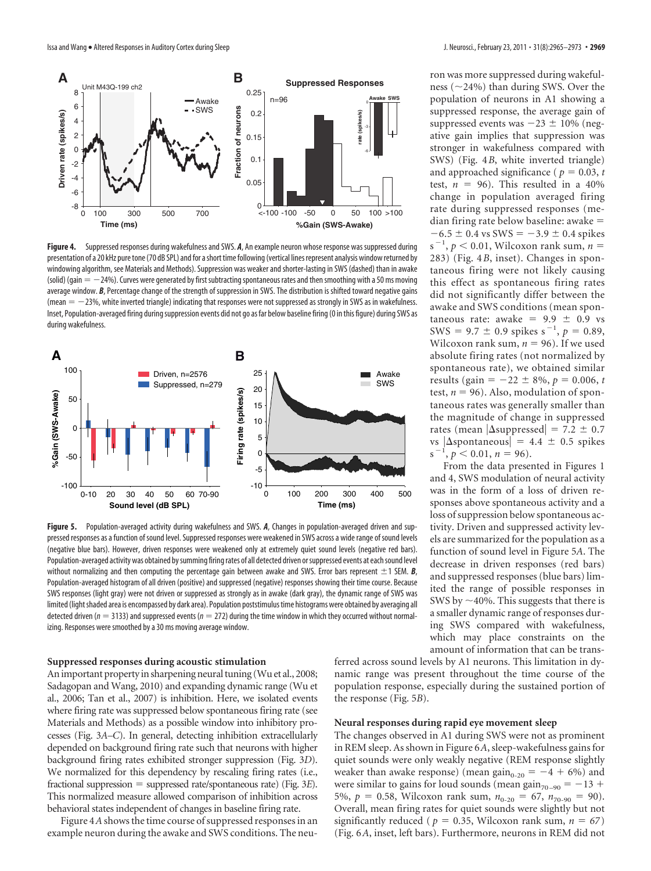

**Figure 4.** Suppressed responses during wakefulness and SWS. *A*, An example neuron whose response was suppressed during presentation of a 20 kHz pure tone (70 dB SPL) and for ashort time following (vertical lines represent analysis window returned by windowing algorithm, see Materials and Methods). Suppression was weaker and shorter-lasting in SWS (dashed) than in awake (solid) (gain  $=$   $-$  24%). Curves were generated by first subtracting spontaneous rates and then smoothing with a 50 ms moving average window. *B*, Percentage change of the strength of suppression in SWS. The distribution is shifted toward negative gains  $(mean = -23%$ , white inverted triangle) indicating that responses were not suppressed as strongly in SWS as in wakefulness. Inset, Population-averaged firing duringsuppression events did not go as far below baseline firing (0 in this figure) during SWS as during wakefulness.



**Figure 5.** Population-averaged activity during wakefulness and SWS. *A*, Changes in population-averaged driven and suppressed responses as a function of sound level. Suppressed responses were weakened in SWS across a wide range of sound levels (negative blue bars). However, driven responses were weakened only at extremely quiet sound levels (negative red bars). Population-averaged activity was obtained by summing firing rates of all detected driven or suppressed events at each sound level without normalizing and then computing the percentage gain between awake and SWS. Error bars represent  $\pm 1$  SEM.  $B$ , Population-averaged histogram of all driven (positive) and suppressed (negative) responses showing their time course. Because SWS responses (light gray) were not driven or suppressed as strongly as in awake (dark gray), the dynamic range of SWS was limited (light shaded area is encompassed by dark area). Population poststimulus time histograms were obtained by averaging all detected driven ( $n = 3133$ ) and suppressed events ( $n = 272$ ) during the time window in which they occurred without normalizing. Responses were smoothed by a 30 ms moving average window.

#### **Suppressed responses during acoustic stimulation**

An important property in sharpening neural tuning (Wu et al., 2008; Sadagopan and Wang, 2010) and expanding dynamic range (Wu et al., 2006; Tan et al., 2007) is inhibition. Here, we isolated events where firing rate was suppressed below spontaneous firing rate (see Materials and Methods) as a possible window into inhibitory processes (Fig. 3*A–C*). In general, detecting inhibition extracellularly depended on background firing rate such that neurons with higher background firing rates exhibited stronger suppression (Fig. 3*D*). We normalized for this dependency by rescaling firing rates (i.e., fractional suppression = suppressed rate/spontaneous rate) (Fig. 3*E*). This normalized measure allowed comparison of inhibition across behavioral states independent of changes in baseline firing rate.

Figure 4*A*shows the time course of suppressed responses in an example neuron during the awake and SWS conditions. The neuron was more suppressed during wakefulness ( $\sim$ 24%) than during SWS. Over the population of neurons in A1 showing a suppressed response, the average gain of suppressed events was  $-23 \pm 10\%$  (negative gain implies that suppression was stronger in wakefulness compared with SWS) (Fig. 4*B*, white inverted triangle) and approached significance ( $p = 0.03$ ,  $t$ test,  $n = 96$ ). This resulted in a 40% change in population averaged firing rate during suppressed responses (median firing rate below baseline: awake  $-6.5 \pm 0.4$  vs SWS =  $-3.9 \pm 0.4$  spikes  $s^{-1}$ ,  $p < 0.01$ , Wilcoxon rank sum,  $n =$ 283) (Fig. 4*B*, inset). Changes in spontaneous firing were not likely causing this effect as spontaneous firing rates did not significantly differ between the awake and SWS conditions (mean spontaneous rate: awake =  $9.9 \pm 0.9$  vs SWS =  $9.7 \pm 0.9$  spikes s<sup>-1</sup>,  $p = 0.89$ , Wilcoxon rank sum,  $n = 96$ ). If we used absolute firing rates (not normalized by spontaneous rate), we obtained similar results (gain =  $-22 \pm 8\%$ , *p* = 0.006, *t* test,  $n = 96$ ). Also, modulation of spontaneous rates was generally smaller than the magnitude of change in suppressed rates (mean  $|\Delta$ suppressed = 7.2  $\pm$  0.7 vs  $|\Delta$ spontaneous = 4.4  $\pm$  0.5 spikes  $s^{-1}$ ,  $p < 0.01$ ,  $n = 96$ ).

From the data presented in Figures 1 and 4, SWS modulation of neural activity was in the form of a loss of driven responses above spontaneous activity and a loss of suppression below spontaneous activity. Driven and suppressed activity levels are summarized for the population as a function of sound level in Figure 5*A*. The decrease in driven responses (red bars) and suppressed responses (blue bars) limited the range of possible responses in SWS by  $\sim$  40%. This suggests that there is a smaller dynamic range of responses during SWS compared with wakefulness, which may place constraints on the amount of information that can be trans-

ferred across sound levels by A1 neurons. This limitation in dynamic range was present throughout the time course of the population response, especially during the sustained portion of the response (Fig. 5*B*).

#### **Neural responses during rapid eye movement sleep**

The changes observed in A1 during SWS were not as prominent in REM sleep. As shown in Figure 6*A*, sleep-wakefulness gains for quiet sounds were only weakly negative (REM response slightly weaker than awake response) (mean gain<sub>0-20</sub> =  $-4 + 6%$ ) and were similar to gains for loud sounds (mean gain $_{70-90} = -13 +$ 5%,  $p = 0.58$ , Wilcoxon rank sum,  $n_{0-20} = 67$ ,  $n_{70-90} = 90$ ). Overall, mean firing rates for quiet sounds were slightly but not significantly reduced ( $p = 0.35$ , Wilcoxon rank sum,  $n = 67$ ) (Fig. 6*A*, inset, left bars). Furthermore, neurons in REM did not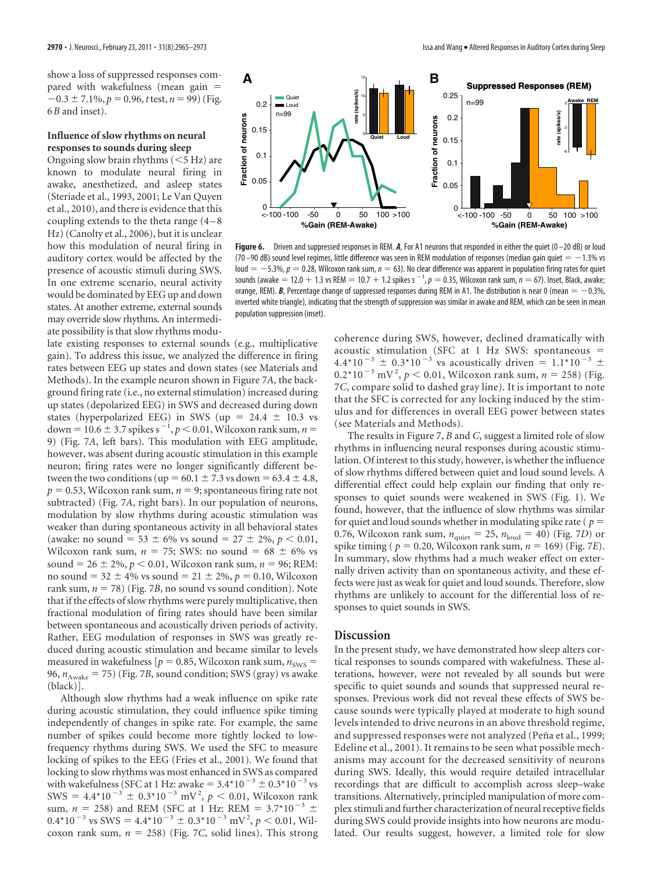show a loss of suppressed responses compared with wakefulness (mean gain  $-0.3 \pm 7.1\%, p = 0.96$ , *t* test, *n* = 99) (Fig. 6*B* and inset).

# **Influence of slow rhythms on neural responses to sounds during sleep**

Ongoing slow brain rhythms  $(<$  5 Hz) are known to modulate neural firing in awake, anesthetized, and asleep states (Steriade et al., 1993, 2001; Le Van Quyen et al., 2010), and there is evidence that this coupling extends to the theta range  $(4-8)$ Hz) (Canolty et al., 2006), but it is unclear how this modulation of neural firing in auditory cortex would be affected by the presence of acoustic stimuli during SWS. In one extreme scenario, neural activity would be dominated by EEG up and down states. At another extreme, external sounds may override slow rhythms. An intermediate possibility is that slow rhythms modu-

late existing responses to external sounds (e.g., multiplicative gain). To address this issue, we analyzed the difference in firing rates between EEG up states and down states (see Materials and Methods). In the example neuron shown in Figure 7*A*, the background firing rate (i.e., no external stimulation) increased during up states (depolarized EEG) in SWS and decreased during down states (hyperpolarized EEG) in SWS (up = 24.4  $\pm$  10.3 vs  $down = 10.6 \pm 3.7$  spikes s<sup>-1</sup>,  $p < 0.01$ , Wilcoxon rank sum,  $n =$ 9) (Fig. 7*A*, left bars). This modulation with EEG amplitude, however, was absent during acoustic stimulation in this example neuron; firing rates were no longer significantly different between the two conditions (up = 60.1  $\pm$  7.3 vs down = 63.4  $\pm$  4.8,  $p = 0.53$ , Wilcoxon rank sum,  $n = 9$ ; spontaneous firing rate not subtracted) (Fig. 7*A*, right bars). In our population of neurons, modulation by slow rhythms during acoustic stimulation was weaker than during spontaneous activity in all behavioral states (awake: no sound = 53  $\pm$  6% vs sound = 27  $\pm$  2%,  $p < 0.01$ , Wilcoxon rank sum,  $n = 75$ ; SWS: no sound = 68  $\pm$  6% vs sound =  $26 \pm 2\%$ ,  $p < 0.01$ , Wilcoxon rank sum,  $n = 96$ ; REM: no sound =  $32 \pm 4\%$  vs sound =  $21 \pm 2\%$ ,  $p = 0.10$ , Wilcoxon rank sum,  $n = 78$ ) (Fig. 7*B*, no sound vs sound condition). Note that if the effects of slow rhythms were purely multiplicative, then fractional modulation of firing rates should have been similar between spontaneous and acoustically driven periods of activity. Rather, EEG modulation of responses in SWS was greatly reduced during acoustic stimulation and became similar to levels measured in wakefulness  $[p = 0.85,$  Wilcoxon rank sum,  $n_{\text{SWS}} =$ 96,  $n_{\text{Awake}} = 75$ ) (Fig. 7*B*, sound condition; SWS (gray) vs awake (black)].

Although slow rhythms had a weak influence on spike rate during acoustic stimulation, they could influence spike timing independently of changes in spike rate. For example, the same number of spikes could become more tightly locked to lowfrequency rhythms during SWS. We used the SFC to measure locking of spikes to the EEG (Fries et al., 2001). We found that locking to slow rhythms was most enhanced in SWS as compared with wakefulness (SFC at 1 Hz: awake =  $3.4*10^{-3} \pm 0.3*10^{-3}$  vs  ${\rm SWS} = 4.4*10^{-3} \pm 0.3*10^{-3} \text{ mV}^2, p < 0.01$ , Wilcoxon rank sum,  $n = 258$ ) and REM (SFC at 1 Hz: REM =  $3.7*10^{-3}$  ±  $0.4*10^{-3}$  vs SWS =  $4.4*10^{-3} \pm 0.3*10^{-3}$  mV<sup>2</sup>,  $p < 0.01$ , Wilcoxon rank sum,  $n = 258$ ) (Fig. 7*C*, solid lines). This strong



**Figure 6.** Driven and suppressed responses in REM. *A*, For A1 neurons that responded in either the quiet (0 –20 dB) or loud (70 –90 dB) sound level regimes, little difference was seen in REM modulation of responses (median gain quiet  $=$  -1.3% vs  $l$ oud  $=$   $-5.3$ %,  $p$   $=$  0.28, Wilcoxon rank sum,  $n$   $=$  63). No clear difference was apparent in population firing rates for quiet sounds (awake = 12.0 + 1.3 vs REM = 10.7 + 1.2 spikes s <sup>- 1</sup>, p = 0.35, Wilcoxon rank sum, n = 67). Inset, Black, awake; orange, REM). **B**, Percentage change of suppressed responses during REM in A1. The distribution is near 0 (mean  $= -0.3\%$ , inverted white triangle), indicating that the strength of suppression was similar in awake and REM, which can be seen in mean population suppression (inset).

coherence during SWS, however, declined dramatically with acoustic stimulation (SFC at 1 Hz SWS: spontaneous  $4.4*10^{-3} \pm 0.3*10^{-3}$  vs acoustically driven = 1.1\*10<sup>-3</sup>  $\pm$  $0.2*10^{-3}$  mV<sup>2</sup>,  $p < 0.01$ , Wilcoxon rank sum,  $n = 258$ ) (Fig. 7*C*, compare solid to dashed gray line). It is important to note that the SFC is corrected for any locking induced by the stimulus and for differences in overall EEG power between states (see Materials and Methods).

The results in Figure 7, *B* and *C*, suggest a limited role of slow rhythms in influencing neural responses during acoustic stimulation. Of interest to this study, however, is whether the influence of slow rhythms differed between quiet and loud sound levels. A differential effect could help explain our finding that only responses to quiet sounds were weakened in SWS (Fig. 1). We found, however, that the influence of slow rhythms was similar for quiet and loud sounds whether in modulating spike rate ( $p =$ 0.76, Wilcoxon rank sum,  $n_{\text{quiet}} = 25$ ,  $n_{\text{load}} = 40$ ) (Fig. 7*D*) or spike timing ( $p = 0.20$ , Wilcoxon rank sum,  $n = 169$ ) (Fig. 7*E*). In summary, slow rhythms had a much weaker effect on externally driven activity than on spontaneous activity, and these effects were just as weak for quiet and loud sounds. Therefore, slow rhythms are unlikely to account for the differential loss of responses to quiet sounds in SWS.

# **Discussion**

In the present study, we have demonstrated how sleep alters cortical responses to sounds compared with wakefulness. These alterations, however, were not revealed by all sounds but were specific to quiet sounds and sounds that suppressed neural responses. Previous work did not reveal these effects of SWS because sounds were typically played at moderate to high sound levels intended to drive neurons in an above threshold regime, and suppressed responses were not analyzed (Peña et al., 1999; Edeline et al., 2001). It remains to be seen what possible mechanisms may account for the decreased sensitivity of neurons during SWS. Ideally, this would require detailed intracellular recordings that are difficult to accomplish across sleep–wake transitions. Alternatively, principled manipulation of more complex stimuli and further characterization of neural receptive fields during SWS could provide insights into how neurons are modulated. Our results suggest, however, a limited role for slow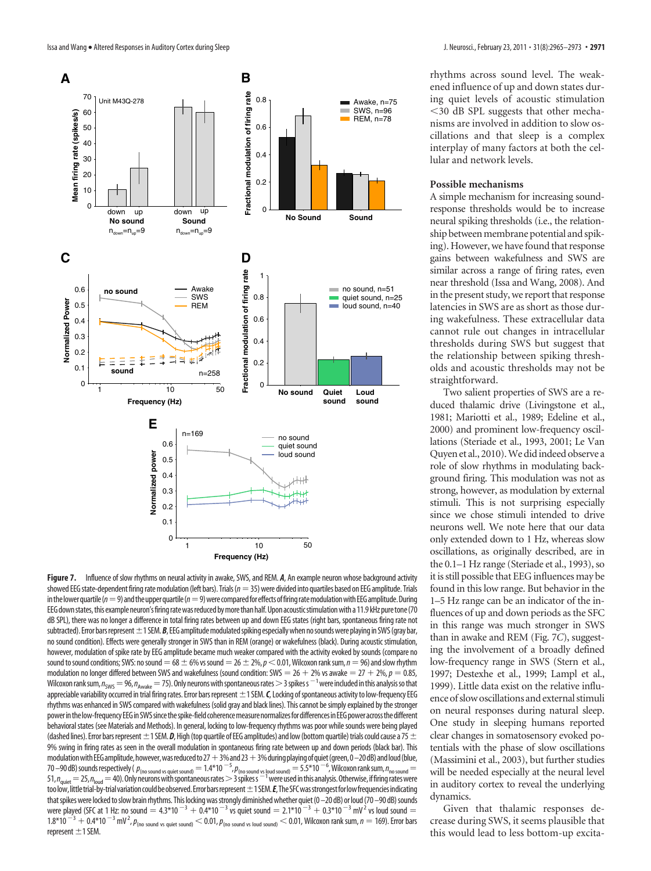

**Figure 7.** Influence of slow rhythms on neural activity in awake, SWS, and REM. *A*, An example neuron whose background activity showed EEG state-dependent firing rate modulation (left bars). Trials ( $n=35$ ) were divided into quartiles based on EEG amplitude. Trials in the lower quartile ( $n=9$ ) and the upper quartile ( $n=9$ ) were compared for effects of firing rate modulation with EEG amplitude. During EEG down states, this example neuron's firing rate was reduced by more than half. Upon acoustic stimulation with a 11.9 kHz pure tone (70 dB SPL), there was no longer a difference in total firing rates between up and down EEG states (right bars, spontaneous firing rate not subtracted). Error bars represent ±1 SEM. B, EEG amplitude modulated spiking especially when no sounds were playing in SWS (gray bar, no sound condition). Effects were generally stronger in SWS than in REM (orange) or wakefulness (black). During acoustic stimulation, however, modulation of spike rate by EEG amplitude became much weaker compared with the activity evoked by sounds (compare no sound to sound conditions; SWS: no sound =  $68 \pm 6$ % vs sound =  $26 \pm 2$ %,  $p$  < 0.01, Wilcoxon rank sum,  $n$  = 96) and slow rhythm modulation no longer differed between SWS and wakefulness (sound condition: SWS =  $26 + 2\%$  vs awake =  $27 + 2\%$ ,  $p = 0.85$ , Wilcoxon rank sum,  $n_{\rm{SWS}}=$  96,  $n_{\rm{Avake}}$   $=$  75). Only neurons with spontaneous rates  $>$  3 spikes s  $^{-1}$  were included in this analysis so that appreciable variability occurred in trial firing rates. Error bars represent ±1 SEM. C, Locking of spontaneous activity to low-frequency EEG rhythms was enhanced in SWS compared with wakefulness (solid gray and black lines). This cannot be simply explained by the stronger power in the low-frequency EEG in SWS since the spike-field coherence measure normalizes for differences in EEG power across the different behavioral states (see Materials and Methods). In general, locking to low-frequency rhythms was poor while sounds were being played (dashed lines). Error bars represent  $\pm$  1 SEM.  $D$ , High (top quartile of EEG amplitudes) and low (bottom quartile) trials could cause a 75  $\pm$ 9% swing in firing rates as seen in the overall modulation in spontaneous firing rate between up and down periods (black bar). This modulation with EEG amplitude, however, was reduced to  $27 + 3\%$  and  $23 + 3\%$  during playing of quiet (green, 0 -20 dB) and loud (blue, 70–90 dB) sounds respectively (  $\rho_{\text{(no sound vs quiet sound)}}$  = 1.4\*10  $^{-5}$ ,  $\rho_{\text{(no sound vs loud sound)}}$  = 5.5\*10  $^{-6}$ , Wilcoxon rank sum,  $n_{\text{no sound}}$  =<br>51,  $n_{\text{quiet}}$  = 25,  $n_{\text{loud}}$  = 40). Only neurons with spontaneous rates  $>$  3 spikes s  $^{-1}$ toolow, little trial-by-trial variation could be observed. Error bars represent  $\pm$  1 SEM. E, The SFC was strongest for low frequencies indicating that spikes were locked to slow brain rhythms. This locking was strongly diminished whether quiet (0 -20 dB) or loud (70 -90 dB) sounds were played (SFC at 1 Hz: no sound =  $4.3*10^{-3} + 0.4*10^{-3}$  vs quiet sound =  $2.1*10^{-3} + 0.3*10^{-3}$  mV<sup>2</sup> vs loud sound =  $1.8*10^{-3}+0.4*10^{-3}$  mV  $^2$ ,  $p_{\rm (no\ sound\ vs\ quiet\ sound)}$   $<$  0.01,  $p_{\rm (no\ sound\ vs\ loud\ sound)}$   $<$  0.01, Wilcoxon rank sum,  $n=$  169). Error bars represent  $\pm$  1 SEM.

rhythms across sound level. The weakened influence of up and down states during quiet levels of acoustic stimulation 30 dB SPL suggests that other mechanisms are involved in addition to slow oscillations and that sleep is a complex interplay of many factors at both the cellular and network levels.

### **Possible mechanisms**

A simple mechanism for increasing soundresponse thresholds would be to increase neural spiking thresholds (i.e., the relationship between membrane potential and spiking). However, we have found that response gains between wakefulness and SWS are similar across a range of firing rates, even near threshold (Issa and Wang, 2008). And in the present study, we report that response latencies in SWS are as short as those during wakefulness. These extracellular data cannot rule out changes in intracellular thresholds during SWS but suggest that the relationship between spiking thresholds and acoustic thresholds may not be straightforward.

Two salient properties of SWS are a reduced thalamic drive (Livingstone et al., 1981; Mariotti et al., 1989; Edeline et al., 2000) and prominent low-frequency oscillations (Steriade et al., 1993, 2001; Le Van Quyen et al., 2010). We did indeed observe a role of slow rhythms in modulating background firing. This modulation was not as strong, however, as modulation by external stimuli. This is not surprising especially since we chose stimuli intended to drive neurons well. We note here that our data only extended down to 1 Hz, whereas slow oscillations, as originally described, are in the 0.1–1 Hz range (Steriade et al., 1993), so it is still possible that EEG influences may be found in this low range. But behavior in the 1–5 Hz range can be an indicator of the influences of up and down periods as the SFC in this range was much stronger in SWS than in awake and REM (Fig. 7*C*), suggesting the involvement of a broadly defined low-frequency range in SWS (Stern et al., 1997; Destexhe et al., 1999; Lampl et al., 1999). Little data exist on the relative influence of slow oscillations and external stimuli on neural responses during natural sleep. One study in sleeping humans reported clear changes in somatosensory evoked potentials with the phase of slow oscillations (Massimini et al., 2003), but further studies will be needed especially at the neural level in auditory cortex to reveal the underlying dynamics.

Given that thalamic responses decrease during SWS, it seems plausible that this would lead to less bottom-up excita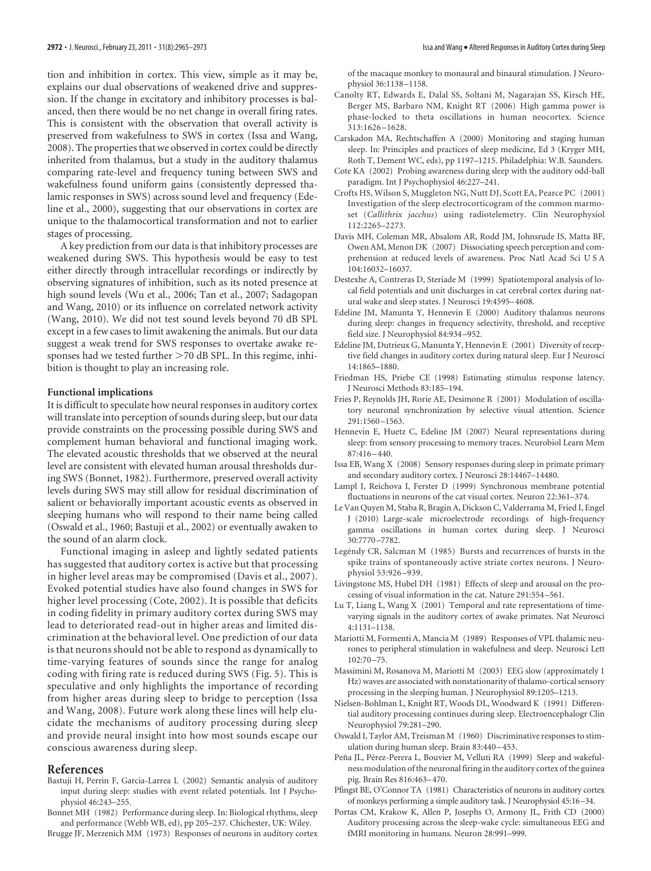tion and inhibition in cortex. This view, simple as it may be, explains our dual observations of weakened drive and suppression. If the change in excitatory and inhibitory processes is balanced, then there would be no net change in overall firing rates. This is consistent with the observation that overall activity is preserved from wakefulness to SWS in cortex (Issa and Wang, 2008). The properties that we observed in cortex could be directly inherited from thalamus, but a study in the auditory thalamus comparing rate-level and frequency tuning between SWS and wakefulness found uniform gains (consistently depressed thalamic responses in SWS) across sound level and frequency (Edeline et al., 2000), suggesting that our observations in cortex are unique to the thalamocortical transformation and not to earlier stages of processing.

A key prediction from our data is that inhibitory processes are weakened during SWS. This hypothesis would be easy to test either directly through intracellular recordings or indirectly by observing signatures of inhibition, such as its noted presence at high sound levels (Wu et al., 2006; Tan et al., 2007; Sadagopan and Wang, 2010) or its influence on correlated network activity (Wang, 2010). We did not test sound levels beyond 70 dB SPL except in a few cases to limit awakening the animals. But our data suggest a weak trend for SWS responses to overtake awake responses had we tested further  $>70$  dB SPL. In this regime, inhibition is thought to play an increasing role.

#### **Functional implications**

It is difficult to speculate how neural responses in auditory cortex will translate into perception of sounds during sleep, but our data provide constraints on the processing possible during SWS and complement human behavioral and functional imaging work. The elevated acoustic thresholds that we observed at the neural level are consistent with elevated human arousal thresholds during SWS (Bonnet, 1982). Furthermore, preserved overall activity levels during SWS may still allow for residual discrimination of salient or behaviorally important acoustic events as observed in sleeping humans who will respond to their name being called (Oswald et al., 1960; Bastuji et al., 2002) or eventually awaken to the sound of an alarm clock.

Functional imaging in asleep and lightly sedated patients has suggested that auditory cortex is active but that processing in higher level areas may be compromised (Davis et al., 2007). Evoked potential studies have also found changes in SWS for higher level processing (Cote, 2002). It is possible that deficits in coding fidelity in primary auditory cortex during SWS may lead to deteriorated read-out in higher areas and limited discrimination at the behavioral level. One prediction of our data is that neurons should not be able to respond as dynamically to time-varying features of sounds since the range for analog coding with firing rate is reduced during SWS (Fig. 5). This is speculative and only highlights the importance of recording from higher areas during sleep to bridge to perception (Issa and Wang, 2008). Future work along these lines will help elucidate the mechanisms of auditory processing during sleep and provide neural insight into how most sounds escape our conscious awareness during sleep.

## **References**

- Bastuji H, Perrin F, Garcia-Larrea L (2002) Semantic analysis of auditory input during sleep: studies with event related potentials. Int J Psychophysiol 46:243–255.
- Bonnet MH (1982) Performance during sleep. In: Biological rhythms, sleep and performance (Webb WB, ed), pp 205–237. Chichester, UK: Wiley.
- Brugge JF, Merzenich MM (1973) Responses of neurons in auditory cortex

of the macaque monkey to monaural and binaural stimulation. J Neurophysiol 36:1138 –1158.

- Canolty RT, Edwards E, Dalal SS, Soltani M, Nagarajan SS, Kirsch HE, Berger MS, Barbaro NM, Knight RT (2006) High gamma power is phase-locked to theta oscillations in human neocortex. Science 313:1626 –1628.
- Carskadon MA, Rechtschaffen A (2000) Monitoring and staging human sleep. In: Principles and practices of sleep medicine, Ed 3 (Kryger MH, Roth T, Dement WC, eds), pp 1197–1215. Philadelphia: W.B. Saunders.
- Cote KA (2002) Probing awareness during sleep with the auditory odd-ball paradigm. Int J Psychophysiol 46:227–241.
- Crofts HS, Wilson S, Muggleton NG, Nutt DJ, Scott EA, Pearce PC (2001) Investigation of the sleep electrocorticogram of the common marmoset (*Callithrix jacchus*) using radiotelemetry. Clin Neurophysiol 112:2265–2273.
- Davis MH, Coleman MR, Absalom AR, Rodd JM, Johnsrude IS, Matta BF, Owen AM, Menon DK (2007) Dissociating speech perception and comprehension at reduced levels of awareness. Proc Natl Acad Sci U S A 104:16032–16037.
- Destexhe A, Contreras D, Steriade M (1999) Spatiotemporal analysis of local field potentials and unit discharges in cat cerebral cortex during natural wake and sleep states. J Neurosci 19:4595–4608.
- Edeline JM, Manunta Y, Hennevin E (2000) Auditory thalamus neurons during sleep: changes in frequency selectivity, threshold, and receptive field size. J Neurophysiol 84:934 –952.
- Edeline JM, Dutrieux G, Manunta Y, Hennevin E (2001) Diversity of receptive field changes in auditory cortex during natural sleep. Eur J Neurosci 14:1865–1880.
- Friedman HS, Priebe CE (1998) Estimating stimulus response latency. J Neurosci Methods 83:185–194.
- Fries P, Reynolds JH, Rorie AE, Desimone R (2001) Modulation of oscillatory neuronal synchronization by selective visual attention. Science 291:1560 –1563.
- Hennevin E, Huetz C, Edeline JM (2007) Neural representations during sleep: from sensory processing to memory traces. Neurobiol Learn Mem 87:416 –440.
- Issa EB, Wang X (2008) Sensory responses during sleep in primate primary and secondary auditory cortex. J Neurosci 28:14467–14480.
- Lampl I, Reichova I, Ferster D (1999) Synchronous membrane potential fluctuations in neurons of the cat visual cortex. Neuron 22:361–374.
- Le Van Quyen M, Staba R, Bragin A, Dickson C, Valderrama M, Fried I, Engel J (2010) Large-scale microelectrode recordings of high-frequency gamma oscillations in human cortex during sleep. J Neurosci 30:7770 –7782.
- Legéndy CR, Salcman M (1985) Bursts and recurrences of bursts in the spike trains of spontaneously active striate cortex neurons. J Neurophysiol 53:926 –939.
- Livingstone MS, Hubel DH (1981) Effects of sleep and arousal on the processing of visual information in the cat. Nature 291:554 –561.
- Lu T, Liang L, Wang X (2001) Temporal and rate representations of timevarying signals in the auditory cortex of awake primates. Nat Neurosci 4:1131–1138.
- Mariotti M, Formenti A, Mancia M (1989) Responses of VPL thalamic neurones to peripheral stimulation in wakefulness and sleep. Neurosci Lett 102:70 –75.
- Massimini M, Rosanova M, Mariotti M (2003) EEG slow (approximately 1 Hz) waves are associated with nonstationarity of thalamo-cortical sensory processing in the sleeping human. J Neurophysiol 89:1205–1213.
- Nielsen-Bohlman L, Knight RT, Woods DL, Woodward K (1991) Differential auditory processing continues during sleep. Electroencephalogr Clin Neurophysiol 79:281–290.
- Oswald I, Taylor AM, Treisman M (1960) Discriminative responses to stimulation during human sleep. Brain 83:440 –453.
- Peña JL, Pérez-Perera L, Bouvier M, Velluti RA (1999) Sleep and wakefulness modulation of the neuronal firing in the auditory cortex of the guinea pig. Brain Res 816:463–470.
- Pfingst BE, O'Connor TA (1981) Characteristics of neurons in auditory cortex of monkeys performing a simple auditory task. J Neurophysiol 45:16 –34.
- Portas CM, Krakow K, Allen P, Josephs O, Armony JL, Frith CD (2000) Auditory processing across the sleep-wake cycle: simultaneous EEG and fMRI monitoring in humans. Neuron 28:991–999.